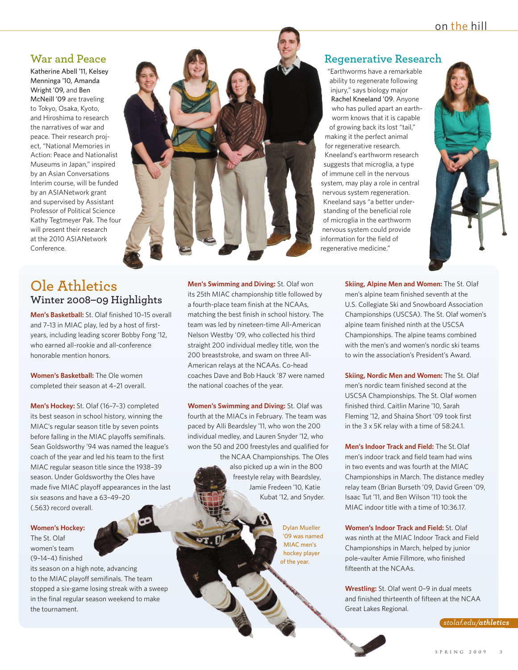### **War and Peace**

Katherine Abell '11, Kelsey Menninga '10, Amanda Wright '09, and Ben McNeill '09 are traveling to Tokyo, Osaka, Kyoto, and Hiroshima to research the narratives of war and peace. Their research project, "National Memories in Action: Peace and Nationalist Museums in Japan," inspired by an Asian Conversations Interim course, will be funded by an ASIANetwork grant and supervised by Assistant Professor of Political Science Kathy Tegtmeyer Pak. The four will present their research at the 2010 ASIANetwork Conference.

## **Ole Athletics Winter 2008–09 Highlights**

**Men's Basketball:** St. Olaf finished 10–15 overall and 7–13 in MIAC play, led by a host of firstyears, including leading scorer Bobby Fong '12, who earned all-rookie and all-conference honorable mention honors.

**Women's Basketball:** The Ole women completed their season at 4–21 overall.

**Men's Hockey:** St. Olaf (16–7–3) completed its best season in school history, winning the MIAC's regular season title by seven points before falling in the MIAC playoffs semifinals. Sean Goldsworthy '94 was named the league's coach of the year and led his team to the first MIAC regular season title since the 1938–39 season. Under Goldsworthy the Oles have made five MIAC playoff appearances in the last six seasons and have a 63–49–20 (.563) record overall.

#### **Women's Hockey:**

The St. Olaf women's team (9–14–4) finished

its season on a high note, advancing to the MIAC playoff semifinals. The team stopped a six-game losing streak with a sweep in the final regular season weekend to make the tournament.



**Men's Swimming and Diving:** St. Olaf won its 25th MIAC championship title followed by a fourth-place team finish at the NCAAs, matching the best finish in school history. The team was led by nineteen-time All-American Nelson Westby '09, who collected his third straight 200 individual medley title, won the 200 breaststroke, and swam on three All-American relays at the NCAAs. Co-head coaches Dave and Bob Hauck '87 were named the national coaches of the year.

**Women's Swimming and Diving:** St. Olaf was fourth at the MIACs in February. The team was paced by Alli Beardsley '11, who won the 200 individual medley, and Lauren Snyder '12, who won the 50 and 200 freestyles and qualified for the NCAA Championships. The Oles

also picked up a win in the 800 freestyle relay with Beardsley, Jamie Fredeen '10, Katie Kubat '12, and Snyder.

> Dylan Mueller '09 was named MIAC men's hockey player of the year.

#### **Regenerative Research**

"Earthworms have a remarkable ability to regenerate following injury," says biology major Rachel Kneeland '09. Anyone who has pulled apart an earthworm knows that it is capable of growing back its lost "tail," making it the perfect animal for regenerative research. Kneeland's earthworm research suggests that microglia, a type of immune cell in the nervous system, may play a role in central nervous system regeneration. Kneeland says "a better understanding of the beneficial role of microglia in the earthworm nervous system could provide information for the field of regenerative medicine."



**Skiing, Alpine Men and Women:** The St. Olaf men's alpine team finished seventh at the U.S. Collegiate Ski and Snowboard Association Championships (USCSA). The St. Olaf women's alpine team finished ninth at the USCSA Championships. The alpine teams combined with the men's and women's nordic ski teams to win the association's President's Award.

**Skiing, Nordic Men and Women:** The St. Olaf men's nordic team finished second at the USCSA Championships. The St. Olaf women finished third. Caitlin Marine '10, Sarah Fleming '12, and Shaina Short '09 took first in the 3 x 5K relay with a time of 58:24.1.

**Men's Indoor Track and Field:** The St.Olaf men's indoor track and field team had wins in two events and was fourth at the MIAC Championships in March. The distance medley relay team (Brian Burseth '09, David Green '09, Isaac Tut '11, and Ben Wilson '11) took the MIAC indoor title with a time of 10:36.17.

**Women's Indoor Track and Field:** St. Olaf was ninth at the MIAC Indoor Track and Field Championships in March, helped by junior pole-vaulter Amie Fillmore, who finished fifteenth at the NCAAs.

**Wrestling:** St. Olaf went 0–9 in dual meets and finished thirteenth of fifteen at the NCAA Great Lakes Regional.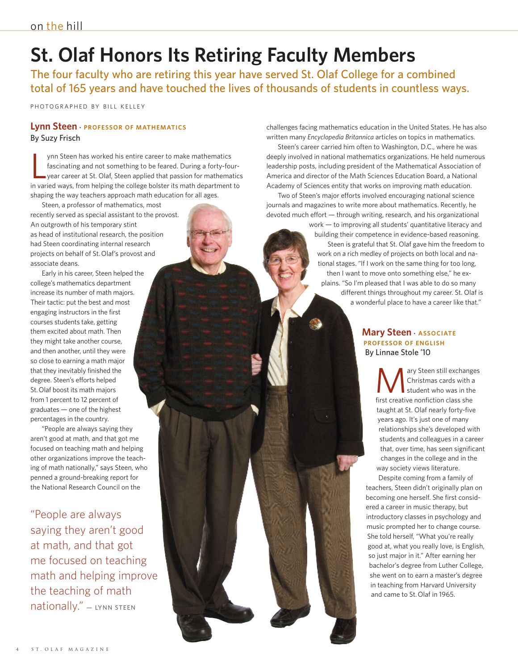# **St. Olaf Honors Its Retiring Faculty Members**

The four faculty who are retiring this year have served St. Olaf College for a combined total of 165 years and have touched the lives of thousands of students in countless ways.

PH OTO GRAPHED BY BILL KELLEY

#### **Lynn Steen · PROFESSOR OF MATHEMATICS** By Suzy Frisch

L ynn Steen has worked his entire career to make mathematics fascinating and not something to be feared. During a forty-fouryear career at St. Olaf, Steen applied that passion for mathematics in varied ways, from helping the college bolster its math department to shaping the way teachers approach math education for all ages.

Steen, a professor of mathematics, most recently served as special assistant to the provost. An outgrowth of his temporary stint as head of institutional research, the position had Steen coordinating internal research projects on behalf of St.Olaf's provost and associate deans.

Early in his career, Steen helped the college's mathematics department increase its number of math majors. Their tactic: put the best and most engaging instructors in the first courses students take, getting them excited about math. Then they might take another course, and then another, until they were so close to earning a math major that they inevitably finished the degree. Steen's efforts helped St.Olaf boost its math majors from 1 percent to 12 percent of graduates — one of the highest percentages in the country.

"People are always saying they aren't good at math, and that got me focused on teaching math and helping other organizations improve the teaching of math nationally," says Steen, who penned a ground-breaking report for the National Research Council on the

"People are always saying they aren't good at math, and that got me focused on teaching math and helping improve the teaching of math  $national <sub>V</sub>$  – LYNN STEEN

challenges facing mathematics education in the United States. He has also written many *Encyclopedia Britannica* articles on topics in mathematics.

Steen's career carried him often to Washington, D.C., where he was deeply involved in national mathematics organizations. He held numerous leadership posts, including president of the Mathematical Association of America and director of the Math Sciences Education Board, a National Academy of Sciences entity that works on improving math education.

Two of Steen's major efforts involved encouraging national science journals and magazines to write more about mathematics. Recently, he devoted much effort — through writing, research, and his organizational

> work — to improving all students' quantitative literacy and building their competence in evidence-based reasoning. Steen is grateful that St. Olaf gave him the freedom to work on a rich medley of projects on both local and national stages. "If I work on the same thing for too long, then I want to move onto something else," he explains. "So I'm pleased that I was able to do so many different things throughout my career. St. Olaf is a wonderful place to have a career like that."

#### **Mary Steen · ASSOCIATE PROFESSOR OF ENGLISH** By Linnae Stole '10

ary Steen still exchanges Christmas cards with a student who was in the first creative nonfiction class she taught at St. Olaf nearly forty-five years ago. It's just one of many relationships she's developed with students and colleagues in a career that, over time, has seen significant changes in the college and in the way society views literature.

Despite coming from a family of teachers, Steen didn't originally plan on becoming one herself. She first considered a career in music therapy, but introductory classes in psychology and music prompted her to change course. She told herself, "What you're really good at, what you really love, is English, so just major in it." After earning her bachelor's degree from Luther College, she went on to earn a master's degree in teaching from Harvard University and came to St.Olaf in 1965.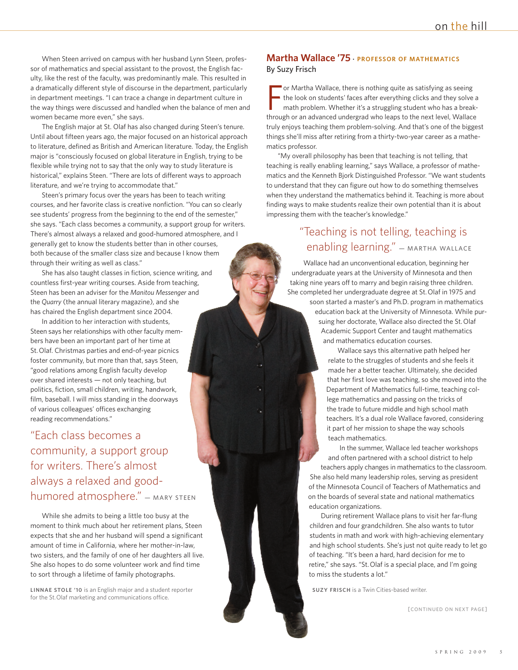When Steen arrived on campus with her husband Lynn Steen, professor of mathematics and special assistant to the provost, the English faculty, like the rest of the faculty, was predominantly male. This resulted in a dramatically different style of discourse in the department, particularly in department meetings. "I can trace a change in department culture in the way things were discussed and handled when the balance of men and women became more even," she says.

The English major at St. Olaf has also changed during Steen's tenure. Until about fifteen years ago, the major focused on an historical approach to literature, defined as British and American literature. Today, the English major is "consciously focused on global literature in English, trying to be flexible while trying not to say that the only way to study literature is historical," explains Steen. "There are lots of different ways to approach literature, and we're trying to accommodate that."

Steen's primary focus over the years has been to teach writing courses, and her favorite class is creative nonfiction. "You can so clearly see students' progress from the beginning to the end of the semester," she says. "Each class becomes a community, a support group for writers. There's almost always a relaxed and good-humored atmosphere, and I generally get to know the students better than in other courses, both because of the smaller class size and because I know them through their writing as well as class."

She has also taught classes in fiction, science writing, and countless first-year writing courses. Aside from teaching, Steen has been an adviser for the *Manitou Messenger* and the *Quarry* (the annual literary magazine), and she has chaired the English department since 2004.

In addition to her interaction with students, Steen says her relationships with other faculty members have been an important part of her time at St.Olaf. Christmas parties and end-of-year picnics foster community, but more than that, says Steen, "good relations among English faculty develop over shared interests — not only teaching, but politics, fiction, small children, writing, handwork, film, baseball. I will miss standing in the doorways of various colleagues' offices exchanging reading recommendations."

"Each class becomes a community, a support group for writers. There's almost always a relaxed and goodhumored atmosphere." - MARY STEEN

While she admits to being a little too busy at the moment to think much about her retirement plans, Steen expects that she and her husband will spend a significant amount of time in California, where her mother-in-law, two sisters, and the family of one of her daughters all live. She also hopes to do some volunteer work and find time to sort through a lifetime of family photographs.

**LINNAE STOLE '10** is an English major and a student reporter for the St.Olaf marketing and communications office.

#### **Martha Wallace '75 · PROFESSOR OF MATHEMATICS** By Suzy Frisch

F or Martha Wallace, there is nothing quite as satisfying as seeing the look on students' faces after everything clicks and they solve a math problem. Whether it's a struggling student who has a breakthrough or an advanced undergrad who leaps to the next level, Wallace truly enjoys teaching them problem-solving. And that's one of the biggest things she'll miss after retiring from a thirty-two-year career as a mathematics professor.

"My overall philosophy has been that teaching is not telling, that teaching is really enabling learning," says Wallace, a professor of mathematics and the Kenneth Bjork Distinguished Professor. "We want students to understand that they can figure out how to do something themselves when they understand the mathematics behind it. Teaching is more about finding ways to make students realize their own potential than it is about impressing them with the teacher's knowledge."

## "Teaching is not telling, teaching is enabling learning." - MARTHA WALLACE

Wallace had an unconventional education, beginning her undergraduate years at the University of Minnesota and then taking nine years off to marry and begin raising three children. She completed her undergraduate degree at St.Olaf in 1975 and

soon started a master's and Ph.D. program in mathematics education back at the University of Minnesota. While pursuing her doctorate, Wallace also directed the St.Olaf Academic Support Center and taught mathematics and mathematics education courses.

Wallace says this alternative path helped her relate to the struggles of students and she feels it made her a better teacher. Ultimately, she decided that her first love was teaching, so she moved into the Department of Mathematics full-time, teaching college mathematics and passing on the tricks of the trade to future middle and high school math teachers. It's a dual role Wallace favored, considering it part of her mission to shape the way schools teach mathematics.

In the summer, Wallace led teacher workshops and often partnered with a school district to help teachers apply changes in mathematics to the classroom. She also held many leadership roles, serving as president of the Minnesota Council of Teachers of Mathematics and on the boards of several state and national mathematics education organizations.

During retirement Wallace plans to visit her far-flung children and four grandchildren. She also wants to tutor students in math and work with high-achieving elementary and high school students. She's just not quite ready to let go of teaching. "It's been a hard, hard decision for me to retire," she says. "St.Olaf is a special place, and I'm going to miss the students a lot."

**SUZY FRISCH** is a Twin Cities-based writer.

[CONTINUED ON NEXT PAGE]